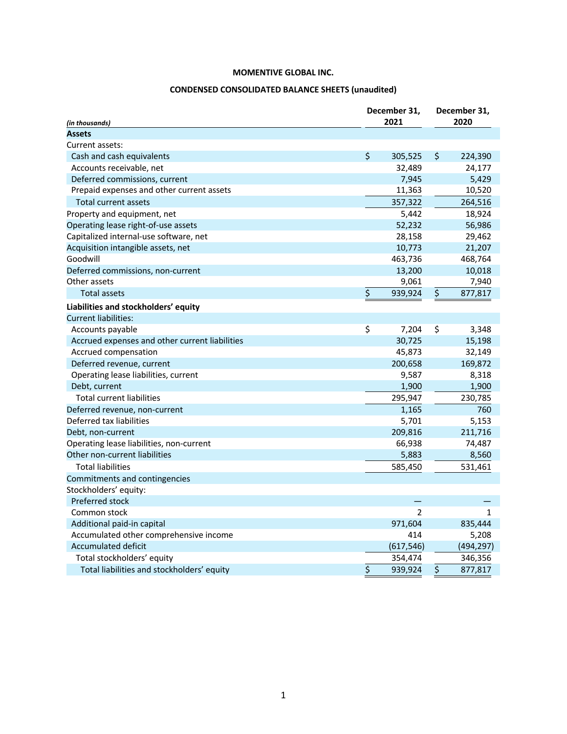# **CONDENSED CONSOLIDATED BALANCE SHEETS (unaudited)**

| (in thousands)                                 | December 31,<br>2021 | December 31,<br>2020 |
|------------------------------------------------|----------------------|----------------------|
| <b>Assets</b>                                  |                      |                      |
| Current assets:                                |                      |                      |
| Cash and cash equivalents                      | \$<br>305,525        | \$<br>224,390        |
| Accounts receivable, net                       | 32,489               | 24,177               |
| Deferred commissions, current                  | 7,945                | 5,429                |
| Prepaid expenses and other current assets      | 11,363               | 10,520               |
| Total current assets                           | 357,322              | 264,516              |
| Property and equipment, net                    | 5,442                | 18,924               |
| Operating lease right-of-use assets            | 52,232               | 56,986               |
| Capitalized internal-use software, net         | 28,158               | 29,462               |
| Acquisition intangible assets, net             | 10,773               | 21,207               |
| Goodwill                                       | 463,736              | 468,764              |
| Deferred commissions, non-current              | 13,200               | 10,018               |
| Other assets                                   | 9,061                | 7,940                |
| <b>Total assets</b>                            | \$<br>939,924        | \$<br>877,817        |
| Liabilities and stockholders' equity           |                      |                      |
| <b>Current liabilities:</b>                    |                      |                      |
| Accounts payable                               | \$<br>7,204          | \$<br>3,348          |
| Accrued expenses and other current liabilities | 30,725               | 15,198               |
| Accrued compensation                           | 45,873               | 32,149               |
| Deferred revenue, current                      | 200,658              | 169,872              |
| Operating lease liabilities, current           | 9,587                | 8,318                |
| Debt, current                                  | 1,900                | 1,900                |
| <b>Total current liabilities</b>               | 295,947              | 230,785              |
| Deferred revenue, non-current                  | 1,165                | 760                  |
| Deferred tax liabilities                       | 5,701                | 5,153                |
| Debt, non-current                              | 209,816              | 211,716              |
| Operating lease liabilities, non-current       | 66,938               | 74,487               |
| Other non-current liabilities                  | 5,883                | 8,560                |
| <b>Total liabilities</b>                       | 585,450              | 531,461              |
| Commitments and contingencies                  |                      |                      |
| Stockholders' equity:                          |                      |                      |
| Preferred stock                                |                      |                      |
| Common stock                                   | $\overline{2}$       | $\mathbf{1}$         |
| Additional paid-in capital                     | 971,604              | 835,444              |
| Accumulated other comprehensive income         | 414                  | 5,208                |
| <b>Accumulated deficit</b>                     | (617, 546)           | (494, 297)           |
| Total stockholders' equity                     | 354,474              | 346,356              |
| Total liabilities and stockholders' equity     | \$<br>939,924        | \$<br>877,817        |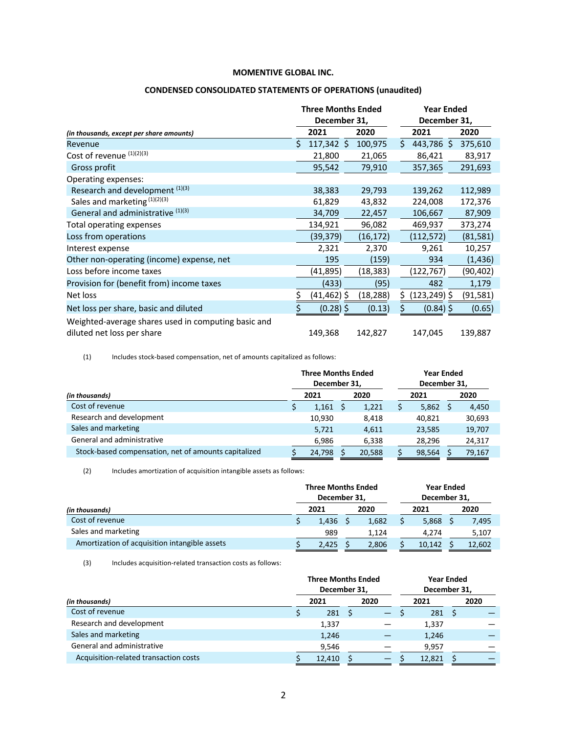### **CONDENSED CONSOLIDATED STATEMENTS OF OPERATIONS (unaudited)**

|                                                     |    | <b>Three Months Ended</b> |  | <b>Year Ended</b> |    |              |  |          |
|-----------------------------------------------------|----|---------------------------|--|-------------------|----|--------------|--|----------|
|                                                     |    | December 31,              |  |                   |    | December 31, |  |          |
| (in thousands, except per share amounts)            |    | 2021                      |  | 2020              |    | 2021         |  | 2020     |
| Revenue                                             | Ś. | $117,342$ \$              |  | 100,975           | Ŝ. | 443,786 \$   |  | 375,610  |
| Cost of revenue (1)(2)(3)                           |    | 21,800                    |  | 21,065            |    | 86,421       |  | 83,917   |
| Gross profit                                        |    | 95,542                    |  | 79,910            |    | 357,365      |  | 291,693  |
| Operating expenses:                                 |    |                           |  |                   |    |              |  |          |
| Research and development (1)(3)                     |    | 38,383                    |  | 29,793            |    | 139,262      |  | 112,989  |
| Sales and marketing (1)(2)(3)                       |    | 61,829                    |  | 43,832            |    | 224,008      |  | 172,376  |
| General and administrative (1)(3)                   |    | 34,709                    |  | 22,457            |    | 106,667      |  | 87,909   |
| Total operating expenses                            |    | 134,921                   |  | 96,082            |    | 469,937      |  | 373,274  |
| Loss from operations                                |    | (39, 379)                 |  | (16, 172)         |    | (112,572)    |  | (81,581) |
| Interest expense                                    |    | 2,321                     |  | 2,370             |    | 9,261        |  | 10,257   |
| Other non-operating (income) expense, net           |    | 195                       |  | (159)             |    | 934          |  | (1, 436) |
| Loss before income taxes                            |    | (41,895)                  |  | (18, 383)         |    | (122, 767)   |  | (90,402) |
| Provision for (benefit from) income taxes           |    | (433)                     |  | (95)              |    | 482          |  | 1,179    |
| Net loss                                            |    | $(41, 462)$ \$            |  | (18, 288)         | S. | (123,249) \$ |  | (91,581) |
| Net loss per share, basic and diluted               |    | $(0.28)$ \$               |  | (0.13)            | Ś  | $(0.84)$ \$  |  | (0.65)   |
| Weighted-average shares used in computing basic and |    |                           |  |                   |    |              |  |          |
| diluted net loss per share                          |    | 149,368                   |  | 142,827           |    | 147,045      |  | 139,887  |

(1) Includes stock-based compensation, net of amounts capitalized as follows:

|                                                      | <b>Three Months Ended</b><br>December 31, |  |        | <b>Year Ended</b><br>December 31, |        |      |        |
|------------------------------------------------------|-------------------------------------------|--|--------|-----------------------------------|--------|------|--------|
| (in thousands)                                       | 2020<br>2021                              |  | 2021   |                                   |        | 2020 |        |
| Cost of revenue                                      | $1,161$ \$                                |  | 1,221  |                                   | 5,862  |      | 4,450  |
| Research and development                             | 10,930                                    |  | 8,418  |                                   | 40.821 |      | 30,693 |
| Sales and marketing                                  | 5,721                                     |  | 4.611  |                                   | 23,585 |      | 19,707 |
| General and administrative                           | 6,986                                     |  | 6,338  |                                   | 28,296 |      | 24,317 |
| Stock-based compensation, net of amounts capitalized | 24,798                                    |  | 20,588 |                                   | 98,564 |      | 79,167 |

(2) Includes amortization of acquisition intangible assets as follows:

|                                               |      | <b>Three Months Ended</b><br>December 31, |      |       |      | <b>Year Ended</b><br>December 31, |  |        |
|-----------------------------------------------|------|-------------------------------------------|------|-------|------|-----------------------------------|--|--------|
| (in thousands)                                | 2021 |                                           | 2020 |       | 2021 |                                   |  | 2020   |
| Cost of revenue                               |      | 1,436                                     |      | 1,682 |      | 5,868                             |  | 7,495  |
| Sales and marketing                           |      | 989                                       |      | 1.124 |      | 4.274                             |  | 5,107  |
| Amortization of acquisition intangible assets |      | 2,425                                     |      | 2,806 |      | 10,142                            |  | 12,602 |

(3) Includes acquisition-related transaction costs as follows:

|                                       |  | <b>Three Months Ended</b><br>December 31, |  |      | <b>Year Ended</b><br>December 31, |             |  |      |  |
|---------------------------------------|--|-------------------------------------------|--|------|-----------------------------------|-------------|--|------|--|
| (in thousands)                        |  | 2021                                      |  | 2020 |                                   | 2021        |  | 2020 |  |
| Cost of revenue                       |  | 281                                       |  |      |                                   | $281 \quad$ |  |      |  |
| Research and development              |  | 1,337                                     |  |      |                                   | 1,337       |  |      |  |
| Sales and marketing                   |  | 1,246                                     |  |      |                                   | 1,246       |  |      |  |
| General and administrative            |  | 9,546                                     |  |      |                                   | 9,957       |  |      |  |
| Acquisition-related transaction costs |  | 12,410                                    |  |      |                                   | 12,821      |  |      |  |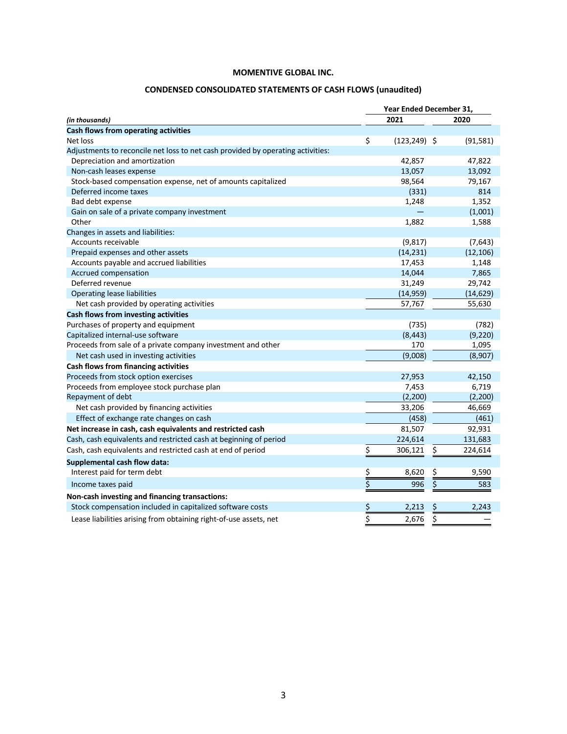# **CONDENSED CONSOLIDATED STATEMENTS OF CASH FLOWS (unaudited)**

|                                                                                 | Year Ended December 31, |                 |                  |           |  |
|---------------------------------------------------------------------------------|-------------------------|-----------------|------------------|-----------|--|
| (in thousands)                                                                  |                         | 2021            |                  | 2020      |  |
| Cash flows from operating activities                                            |                         |                 |                  |           |  |
| Net loss                                                                        | \$                      | $(123, 249)$ \$ |                  | (91, 581) |  |
| Adjustments to reconcile net loss to net cash provided by operating activities: |                         |                 |                  |           |  |
| Depreciation and amortization                                                   |                         | 42,857          |                  | 47,822    |  |
| Non-cash leases expense                                                         |                         | 13,057          |                  | 13,092    |  |
| Stock-based compensation expense, net of amounts capitalized                    |                         | 98,564          |                  | 79,167    |  |
| Deferred income taxes                                                           |                         | (331)           |                  | 814       |  |
| Bad debt expense                                                                |                         | 1,248           |                  | 1,352     |  |
| Gain on sale of a private company investment                                    |                         |                 |                  | (1,001)   |  |
| Other                                                                           |                         | 1,882           |                  | 1,588     |  |
| Changes in assets and liabilities:                                              |                         |                 |                  |           |  |
| Accounts receivable                                                             |                         | (9, 817)        |                  | (7,643)   |  |
| Prepaid expenses and other assets                                               |                         | (14, 231)       |                  | (12, 106) |  |
| Accounts payable and accrued liabilities                                        |                         | 17,453          |                  | 1,148     |  |
| Accrued compensation                                                            |                         | 14,044          |                  | 7,865     |  |
| Deferred revenue                                                                |                         | 31,249          |                  | 29,742    |  |
| Operating lease liabilities                                                     |                         | (14, 959)       |                  | (14, 629) |  |
| Net cash provided by operating activities                                       |                         | 57,767          |                  | 55,630    |  |
| Cash flows from investing activities                                            |                         |                 |                  |           |  |
| Purchases of property and equipment                                             |                         | (735)           |                  | (782)     |  |
| Capitalized internal-use software                                               |                         | (8, 443)        |                  | (9, 220)  |  |
| Proceeds from sale of a private company investment and other                    |                         | 170             |                  | 1,095     |  |
| Net cash used in investing activities                                           |                         | (9,008)         |                  | (8,907)   |  |
| Cash flows from financing activities                                            |                         |                 |                  |           |  |
| Proceeds from stock option exercises                                            |                         | 27,953          |                  | 42,150    |  |
| Proceeds from employee stock purchase plan                                      |                         | 7,453           |                  | 6,719     |  |
| Repayment of debt                                                               |                         | (2,200)         |                  | (2, 200)  |  |
| Net cash provided by financing activities                                       |                         | 33,206          |                  | 46,669    |  |
| Effect of exchange rate changes on cash                                         |                         | (458)           |                  | (461)     |  |
| Net increase in cash, cash equivalents and restricted cash                      |                         | 81,507          |                  | 92,931    |  |
| Cash, cash equivalents and restricted cash at beginning of period               |                         | 224,614         |                  | 131,683   |  |
| Cash, cash equivalents and restricted cash at end of period                     | \$                      | 306,121         | \$               | 224,614   |  |
| Supplemental cash flow data:                                                    |                         |                 |                  |           |  |
| Interest paid for term debt                                                     |                         | 8,620           | \$               | 9,590     |  |
|                                                                                 | $rac{5}{5}$             |                 |                  |           |  |
| Income taxes paid                                                               |                         | 996             | $\overline{\xi}$ | 583       |  |
| Non-cash investing and financing transactions:                                  |                         |                 |                  |           |  |
| Stock compensation included in capitalized software costs                       | \$                      | 2,213           | \$               | 2,243     |  |
| Lease liabilities arising from obtaining right-of-use assets, net               | \$                      | 2,676           | \$               |           |  |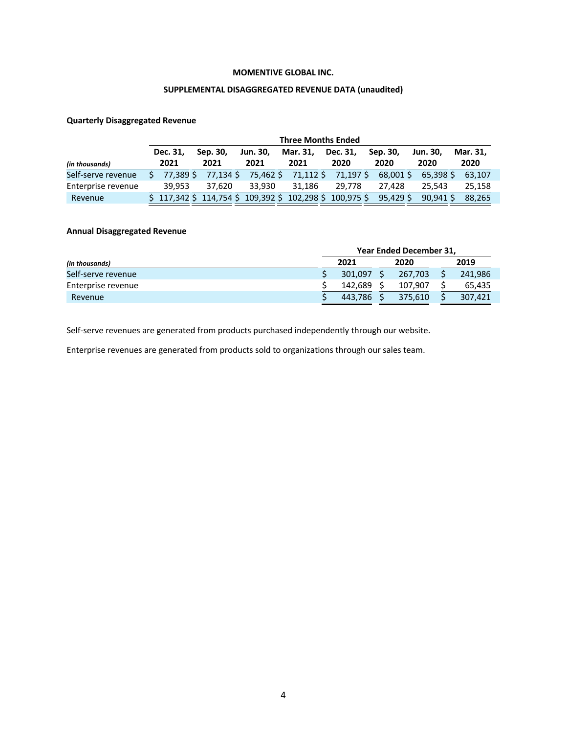## **SUPPLEMENTAL DISAGGREGATED REVENUE DATA (unaudited)**

### **Quarterly Disaggregated Revenue**

|                    | <b>Three Months Ended</b> |                                                             |                 |           |           |             |                 |          |  |  |  |
|--------------------|---------------------------|-------------------------------------------------------------|-----------------|-----------|-----------|-------------|-----------------|----------|--|--|--|
|                    | Dec. 31.                  | Sep. 30.                                                    | <b>Jun. 30.</b> | Mar. 31.  | Dec. 31.  | Sep. 30,    | <b>Jun. 30.</b> | Mar. 31. |  |  |  |
| (in thousands)     | 2021                      | 2021                                                        | 2021            | 2021      | 2020      | 2020        | 2020            | 2020     |  |  |  |
| Self-serve revenue | $5$ 77.389 \$             | 77.134 \$                                                   | 75,462 \$       | 71,112 \$ | 71.197 \$ | 68.001 \$   | 65.398S         | 63.107   |  |  |  |
| Enterprise revenue | 39.953                    | 37.620                                                      | 33.930          | 31.186    | 29.778    | 27.428      | 25.543          | 25.158   |  |  |  |
| Revenue            |                           | $$117,342$$ $$114,754$$ $$109,392$$ $$102,298$$ $$100,975$$ |                 |           |           | $95.429$ \$ | $90.941$ \$     | 88.265   |  |  |  |

### **Annual Disaggregated Revenue**

|                    | Year Ended December 31, |         |  |         |  |         |  |  |  |  |  |  |
|--------------------|-------------------------|---------|--|---------|--|---------|--|--|--|--|--|--|
| (in thousands)     | 2021                    |         |  | 2020    |  | 2019    |  |  |  |  |  |  |
| Self-serve revenue |                         | 301.097 |  | 267.703 |  | 241.986 |  |  |  |  |  |  |
| Enterprise revenue |                         | 142.689 |  | 107.907 |  | 65,435  |  |  |  |  |  |  |
| Revenue            |                         | 443.786 |  | 375.610 |  | 307.421 |  |  |  |  |  |  |

Self-serve revenues are generated from products purchased independently through our website.

Enterprise revenues are generated from products sold to organizations through our sales team.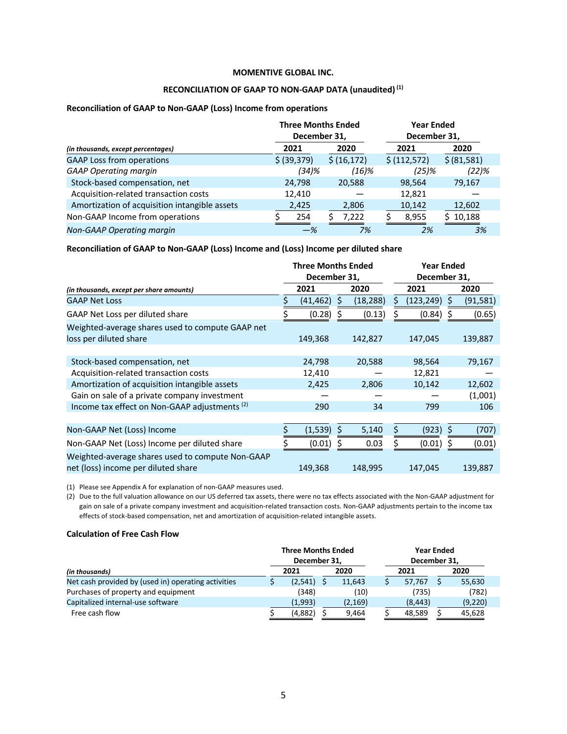### **RECONCILIATION OF GAAP TO NON-GAAP DATA (unaudited)(1)**

#### **Reconciliation of GAAP to Non-GAAP (Loss) Income from operations**

|                                               | <b>Three Months Ended</b><br>December 31, | <b>Year Ended</b><br>December 31, |               |             |
|-----------------------------------------------|-------------------------------------------|-----------------------------------|---------------|-------------|
| (in thousands, except percentages)            | 2021                                      | 2020                              | 2021          | 2020        |
| <b>GAAP Loss from operations</b>              | \$ (39, 379)                              | \$ (16, 172)                      | \$ (112, 572) | \$ (81,581) |
| <b>GAAP Operating margin</b>                  | (34)%                                     | (16)%                             | $(25)$ %      | (22)%       |
| Stock-based compensation, net                 | 24,798                                    | 20,588                            | 98,564        | 79,167      |
| Acquisition-related transaction costs         | 12,410                                    |                                   | 12,821        |             |
| Amortization of acquisition intangible assets | 2,425                                     | 2,806                             | 10,142        | 12,602      |
| Non-GAAP Income from operations               | 254                                       | 7,222                             | 8,955         | \$10,188    |
| Non-GAAP Operating margin                     | $-\%$                                     | 7%                                | 2%            | 3%          |

#### **Reconciliation of GAAP to Non-GAAP (Loss) Income and (Loss) Income per diluted share**

|                                                          | <b>Three Months Ended</b> |   |           |              | <b>Year Ended</b> |    |           |  |  |
|----------------------------------------------------------|---------------------------|---|-----------|--------------|-------------------|----|-----------|--|--|
|                                                          | December 31,              |   |           | December 31, |                   |    |           |  |  |
| (in thousands, except per share amounts)                 | 2021                      |   | 2020      |              | 2021              |    | 2020      |  |  |
| <b>GAAP Net Loss</b>                                     | (41, 462)                 | S | (18, 288) | \$           | (123, 249)        | \$ | (91, 581) |  |  |
| GAAP Net Loss per diluted share                          | (0.28)                    |   | (0.13)    |              | (0.84)            |    | (0.65)    |  |  |
| Weighted-average shares used to compute GAAP net         |                           |   |           |              |                   |    |           |  |  |
| loss per diluted share                                   | 149,368                   |   | 142,827   |              | 147,045           |    | 139,887   |  |  |
|                                                          |                           |   |           |              |                   |    |           |  |  |
| Stock-based compensation, net                            | 24,798                    |   | 20,588    |              | 98,564            |    | 79,167    |  |  |
| Acquisition-related transaction costs                    | 12,410                    |   |           |              | 12,821            |    |           |  |  |
| Amortization of acquisition intangible assets            | 2,425                     |   | 2,806     |              | 10,142            |    | 12,602    |  |  |
| Gain on sale of a private company investment             |                           |   |           |              |                   |    | (1,001)   |  |  |
| Income tax effect on Non-GAAP adjustments <sup>(2)</sup> | 290                       |   | 34        |              | 799               |    | 106       |  |  |
|                                                          |                           |   |           |              |                   |    |           |  |  |
| Non-GAAP Net (Loss) Income                               | (1, 539)                  |   | 5,140     |              | (923)             | \$ | (707)     |  |  |
| Non-GAAP Net (Loss) Income per diluted share             | (0.01)                    |   | 0.03      |              | (0.01)            |    | (0.01)    |  |  |
| Weighted-average shares used to compute Non-GAAP         |                           |   |           |              |                   |    |           |  |  |
| net (loss) income per diluted share                      | 149,368                   |   | 148,995   |              | 147,045           |    | 139,887   |  |  |

(1) Please see Appendix A for explanation of non-GAAP measures used.

(2) Due to the full valuation allowance on our US deferred tax assets, there were no tax effects associated with the Non-GAAP adjustment for gain on sale of a private company investment and acquisition-related transaction costs. Non-GAAP adjustments pertain to the income tax effects of stock-based compensation, net and amortization of acquisition-related intangible assets.

#### **Calculation of Free Cash Flow**

|                                                     | <b>Three Months Ended</b><br>December 31, |         | <b>Year Ended</b><br>December 31. |  |          |
|-----------------------------------------------------|-------------------------------------------|---------|-----------------------------------|--|----------|
| (in thousands)                                      | 2021                                      | 2020    | 2021                              |  | 2020     |
| Net cash provided by (used in) operating activities | $(2,541)$ \$                              | 11,643  | 57.767                            |  | 55,630   |
| Purchases of property and equipment                 | (348)                                     | (10)    | (735)                             |  | (782)    |
| Capitalized internal-use software                   | (1,993)                                   | (2,169) | (8, 443)                          |  | (9, 220) |
| Free cash flow                                      | (4,882)                                   | 9,464   | 48,589                            |  | 45,628   |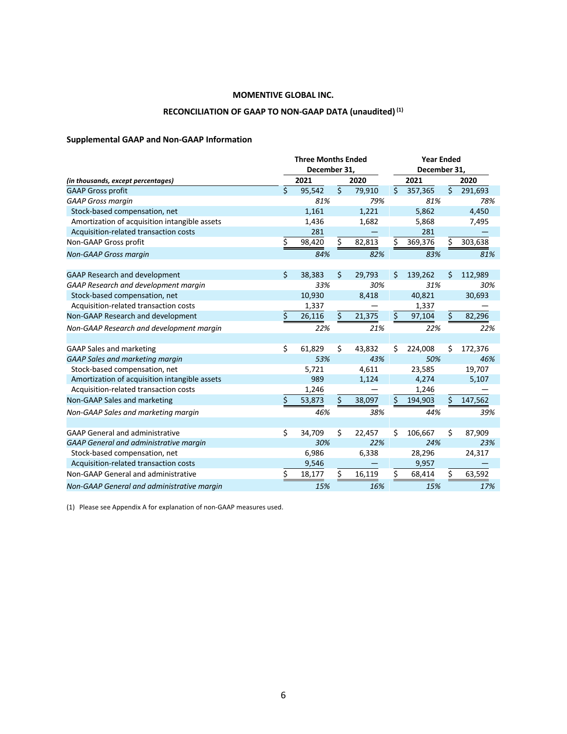# RECONCILIATION OF GAAP TO NON-GAAP DATA (unaudited)<sup>(1)</sup>

# **Supplemental GAAP and Non-GAAP Information**

|                                               |    | <b>Three Months Ended</b> |    |        | <b>Year Ended</b>         |         |    |         |  |  |
|-----------------------------------------------|----|---------------------------|----|--------|---------------------------|---------|----|---------|--|--|
|                                               |    | December 31,              |    |        | December 31.              |         |    |         |  |  |
| (in thousands, except percentages)            |    | 2021                      |    | 2020   |                           | 2021    |    | 2020    |  |  |
| <b>GAAP Gross profit</b>                      | \$ | 95,542                    | \$ | 79,910 | $\overline{\overline{S}}$ | 357,365 | \$ | 291,693 |  |  |
| <b>GAAP Gross margin</b>                      |    | 81%                       |    | 79%    |                           | 81%     |    | 78%     |  |  |
| Stock-based compensation, net                 |    | 1,161                     |    | 1,221  |                           | 5,862   |    | 4,450   |  |  |
| Amortization of acquisition intangible assets |    | 1,436                     |    | 1,682  |                           | 5,868   |    | 7,495   |  |  |
| Acquisition-related transaction costs         |    | 281                       |    |        |                           | 281     |    |         |  |  |
| Non-GAAP Gross profit                         | Ś. | 98,420                    | \$ | 82,813 | Ś.                        | 369,376 | \$ | 303,638 |  |  |
| <b>Non-GAAP Gross margin</b>                  |    | 84%                       |    | 82%    |                           | 83%     |    | 81%     |  |  |
| <b>GAAP Research and development</b>          | \$ | 38,383                    | Ś  | 29,793 | Ś                         | 139,262 | Ś  | 112,989 |  |  |
| GAAP Research and development margin          |    | 33%                       |    | 30%    |                           | 31%     |    | 30%     |  |  |
| Stock-based compensation, net                 |    | 10,930                    |    | 8,418  |                           | 40,821  |    | 30,693  |  |  |
| Acquisition-related transaction costs         |    | 1,337                     |    |        |                           | 1,337   |    |         |  |  |
| Non-GAAP Research and development             |    | 26,116                    | Ś  | 21,375 |                           | 97,104  |    | 82,296  |  |  |
| Non-GAAP Research and development margin      |    | 22%                       |    | 21%    |                           | 22%     |    | 22%     |  |  |
| <b>GAAP Sales and marketing</b>               | \$ | 61,829                    | Ś. | 43.832 | Ś                         | 224,008 | Ś  | 172,376 |  |  |
| <b>GAAP Sales and marketing margin</b>        |    | 53%                       |    | 43%    |                           | 50%     |    | 46%     |  |  |
| Stock-based compensation, net                 |    | 5,721                     |    | 4,611  |                           | 23,585  |    | 19,707  |  |  |
| Amortization of acquisition intangible assets |    | 989                       |    | 1,124  |                           | 4,274   |    | 5,107   |  |  |
| Acquisition-related transaction costs         |    | 1,246                     |    |        |                           | 1,246   |    |         |  |  |
| Non-GAAP Sales and marketing                  | Ś  | 53,873                    | Ś  | 38,097 | Ś                         | 194,903 | Ś  | 147,562 |  |  |
| Non-GAAP Sales and marketing margin           |    | 46%                       |    | 38%    |                           | 44%     |    | 39%     |  |  |
| <b>GAAP General and administrative</b>        | \$ | 34,709                    | \$ | 22,457 | Ś                         | 106,667 | \$ | 87,909  |  |  |
| <b>GAAP General and administrative margin</b> |    | 30%                       |    | 22%    |                           | 24%     |    | 23%     |  |  |
| Stock-based compensation, net                 |    | 6,986                     |    | 6,338  |                           | 28,296  |    | 24,317  |  |  |
| Acquisition-related transaction costs         |    | 9,546                     |    |        |                           | 9,957   |    |         |  |  |
| Non-GAAP General and administrative           | \$ | 18,177                    | \$ | 16,119 | \$                        | 68,414  | \$ | 63,592  |  |  |
| Non-GAAP General and administrative margin    |    | 15%                       |    | 16%    |                           | 15%     |    | 17%     |  |  |

(1) Please see Appendix A for explanation of non-GAAP measures used.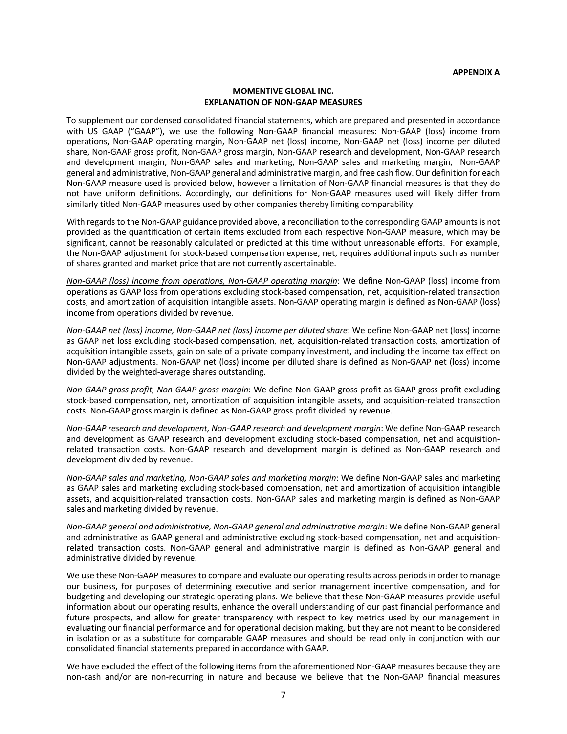#### **MOMENTIVE GLOBAL INC. EXPLANATION OF NON-GAAP MEASURES**

To supplement our condensed consolidated financial statements, which are prepared and presented in accordance with US GAAP ("GAAP"), we use the following Non-GAAP financial measures: Non-GAAP (loss) income from operations, Non-GAAP operating margin, Non-GAAP net (loss) income, Non-GAAP net (loss) income per diluted share, Non-GAAP gross profit, Non-GAAP gross margin, Non-GAAP research and development, Non-GAAP research and development margin, Non-GAAP sales and marketing, Non-GAAP sales and marketing margin, Non-GAAP general and administrative, Non-GAAP general and administrative margin, and free cash flow. Our definition for each Non-GAAP measure used is provided below, however a limitation of Non-GAAP financial measures is that they do not have uniform definitions. Accordingly, our definitions for Non-GAAP measures used will likely differ from similarly titled Non-GAAP measures used by other companies thereby limiting comparability.

With regards to the Non-GAAP guidance provided above, a reconciliation to the corresponding GAAP amounts is not provided as the quantification of certain items excluded from each respective Non-GAAP measure, which may be significant, cannot be reasonably calculated or predicted at this time without unreasonable efforts. For example, the Non-GAAP adjustment for stock-based compensation expense, net, requires additional inputs such as number of shares granted and market price that are not currently ascertainable.

*Non-GAAP (loss) income from operations, Non-GAAP operating margin*: We define Non-GAAP (loss) income from operations as GAAP loss from operations excluding stock-based compensation, net, acquisition-related transaction costs, and amortization of acquisition intangible assets. Non-GAAP operating margin is defined as Non-GAAP (loss) income from operations divided by revenue.

*Non-GAAP net (loss) income, Non-GAAP net (loss) income per diluted share*: We define Non-GAAP net (loss) income as GAAP net loss excluding stock-based compensation, net, acquisition-related transaction costs, amortization of acquisition intangible assets, gain on sale of a private company investment, and including the income tax effect on Non-GAAP adjustments. Non-GAAP net (loss) income per diluted share is defined as Non-GAAP net (loss) income divided by the weighted-average shares outstanding.

*Non-GAAP gross profit, Non-GAAP gross margin*: We define Non-GAAP gross profit as GAAP gross profit excluding stock-based compensation, net, amortization of acquisition intangible assets, and acquisition-related transaction costs. Non-GAAP gross margin is defined as Non-GAAP gross profit divided by revenue.

*Non-GAAP research and development, Non-GAAP research and development margin*: We define Non-GAAP research and development as GAAP research and development excluding stock-based compensation, net and acquisitionrelated transaction costs. Non-GAAP research and development margin is defined as Non-GAAP research and development divided by revenue.

*Non-GAAP sales and marketing, Non-GAAP sales and marketing margin*: We define Non-GAAP sales and marketing as GAAP sales and marketing excluding stock-based compensation, net and amortization of acquisition intangible assets, and acquisition-related transaction costs. Non-GAAP sales and marketing margin is defined as Non-GAAP sales and marketing divided by revenue.

*Non-GAAP general and administrative, Non-GAAP general and administrative margin*: We define Non-GAAP general and administrative as GAAP general and administrative excluding stock-based compensation, net and acquisitionrelated transaction costs. Non-GAAP general and administrative margin is defined as Non-GAAP general and administrative divided by revenue.

We use these Non-GAAP measures to compare and evaluate our operating results across periods in order to manage our business, for purposes of determining executive and senior management incentive compensation, and for budgeting and developing our strategic operating plans. We believe that these Non-GAAP measures provide useful information about our operating results, enhance the overall understanding of our past financial performance and future prospects, and allow for greater transparency with respect to key metrics used by our management in evaluating our financial performance and for operational decision making, but they are not meant to be considered in isolation or as a substitute for comparable GAAP measures and should be read only in conjunction with our consolidated financial statements prepared in accordance with GAAP.

We have excluded the effect of the following items from the aforementioned Non-GAAP measures because they are non-cash and/or are non-recurring in nature and because we believe that the Non-GAAP financial measures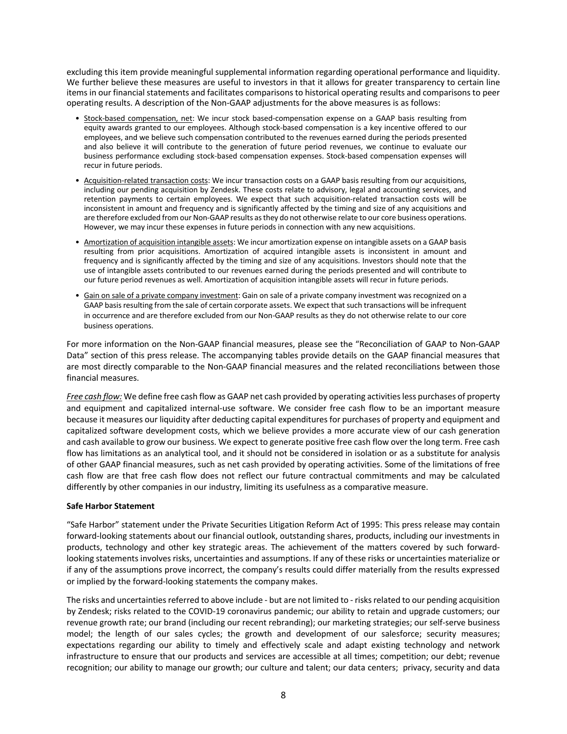excluding this item provide meaningful supplemental information regarding operational performance and liquidity. We further believe these measures are useful to investors in that it allows for greater transparency to certain line items in our financial statements and facilitates comparisons to historical operating results and comparisons to peer operating results. A description of the Non-GAAP adjustments for the above measures is as follows:

- Stock-based compensation, net: We incur stock based-compensation expense on a GAAP basis resulting from equity awards granted to our employees. Although stock-based compensation is a key incentive offered to our employees, and we believe such compensation contributed to the revenues earned during the periods presented and also believe it will contribute to the generation of future period revenues, we continue to evaluate our business performance excluding stock-based compensation expenses. Stock-based compensation expenses will recur in future periods.
- Acquisition-related transaction costs: We incur transaction costs on a GAAP basis resulting from our acquisitions, including our pending acquisition by Zendesk. These costs relate to advisory, legal and accounting services, and retention payments to certain employees. We expect that such acquisition-related transaction costs will be inconsistent in amount and frequency and is significantly affected by the timing and size of any acquisitions and are therefore excluded from our Non-GAAP results as they do not otherwise relate to our core business operations. However, we may incur these expenses in future periods in connection with any new acquisitions.
- Amortization of acquisition intangible assets: We incur amortization expense on intangible assets on a GAAP basis resulting from prior acquisitions. Amortization of acquired intangible assets is inconsistent in amount and frequency and is significantly affected by the timing and size of any acquisitions. Investors should note that the use of intangible assets contributed to our revenues earned during the periods presented and will contribute to our future period revenues as well. Amortization of acquisition intangible assets will recur in future periods.
- Gain on sale of a private company investment: Gain on sale of a private company investment was recognized on a GAAP basis resulting from the sale of certain corporate assets. We expect that such transactions will be infrequent in occurrence and are therefore excluded from our Non-GAAP results as they do not otherwise relate to our core business operations.

For more information on the Non-GAAP financial measures, please see the "Reconciliation of GAAP to Non-GAAP Data" section of this press release. The accompanying tables provide details on the GAAP financial measures that are most directly comparable to the Non-GAAP financial measures and the related reconciliations between those financial measures.

*Free cash flow:* We define free cash flow as GAAP net cash provided by operating activities less purchases of property and equipment and capitalized internal-use software. We consider free cash flow to be an important measure because it measures our liquidity after deducting capital expenditures for purchases of property and equipment and capitalized software development costs, which we believe provides a more accurate view of our cash generation and cash available to grow our business. We expect to generate positive free cash flow over the long term. Free cash flow has limitations as an analytical tool, and it should not be considered in isolation or as a substitute for analysis of other GAAP financial measures, such as net cash provided by operating activities. Some of the limitations of free cash flow are that free cash flow does not reflect our future contractual commitments and may be calculated differently by other companies in our industry, limiting its usefulness as a comparative measure.

#### **Safe Harbor Statement**

"Safe Harbor" statement under the Private Securities Litigation Reform Act of 1995: This press release may contain forward-looking statements about our financial outlook, outstanding shares, products, including our investments in products, technology and other key strategic areas. The achievement of the matters covered by such forwardlooking statements involves risks, uncertainties and assumptions. If any of these risks or uncertainties materialize or if any of the assumptions prove incorrect, the company's results could differ materially from the results expressed or implied by the forward-looking statements the company makes.

The risks and uncertainties referred to above include - but are not limited to - risks related to our pending acquisition by Zendesk; risks related to the COVID-19 coronavirus pandemic; our ability to retain and upgrade customers; our revenue growth rate; our brand (including our recent rebranding); our marketing strategies; our self-serve business model; the length of our sales cycles; the growth and development of our salesforce; security measures; expectations regarding our ability to timely and effectively scale and adapt existing technology and network infrastructure to ensure that our products and services are accessible at all times; competition; our debt; revenue recognition; our ability to manage our growth; our culture and talent; our data centers; privacy, security and data